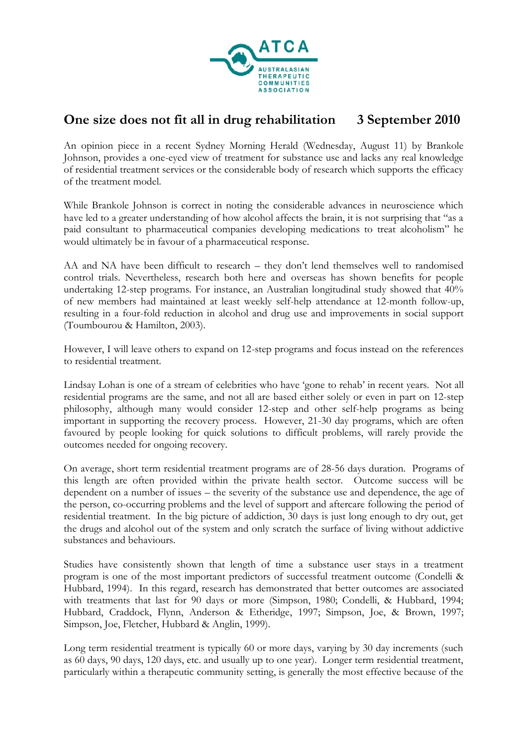

## **One size does not fit all in drug rehabilitation 3 September 2010**

An opinion piece in a recent Sydney Morning Herald (Wednesday, August 11) by Brankole Johnson, provides a one-eyed view of treatment for substance use and lacks any real knowledge of residential treatment services or the considerable body of research which supports the efficacy of the treatment model.

While Brankole Johnson is correct in noting the considerable advances in neuroscience which have led to a greater understanding of how alcohol affects the brain, it is not surprising that "as a paid consultant to pharmaceutical companies developing medications to treat alcoholism" he would ultimately be in favour of a pharmaceutical response.

AA and NA have been difficult to research – they don't lend themselves well to randomised control trials. Nevertheless, research both here and overseas has shown benefits for people undertaking 12-step programs. For instance, an Australian longitudinal study showed that 40% of new members had maintained at least weekly self-help attendance at 12-month follow-up, resulting in a four-fold reduction in alcohol and drug use and improvements in social support (Toumbourou & Hamilton, 2003).

However, I will leave others to expand on 12-step programs and focus instead on the references to residential treatment.

Lindsay Lohan is one of a stream of celebrities who have 'gone to rehab' in recent years. Not all residential programs are the same, and not all are based either solely or even in part on 12-step philosophy, although many would consider 12-step and other self-help programs as being important in supporting the recovery process. However, 21-30 day programs, which are often favoured by people looking for quick solutions to difficult problems, will rarely provide the outcomes needed for ongoing recovery.

On average, short term residential treatment programs are of 28-56 days duration. Programs of this length are often provided within the private health sector. Outcome success will be dependent on a number of issues – the severity of the substance use and dependence, the age of the person, co-occurring problems and the level of support and aftercare following the period of residential treatment. In the big picture of addiction, 30 days is just long enough to dry out, get the drugs and alcohol out of the system and only scratch the surface of living without addictive substances and behaviours.

Studies have consistently shown that length of time a substance user stays in a treatment program is one of the most important predictors of successful treatment outcome (Condelli & Hubbard, 1994). In this regard, research has demonstrated that better outcomes are associated with treatments that last for 90 days or more (Simpson, 1980; Condelli, & Hubbard, 1994; Hubbard, Craddock, Flynn, Anderson & Etheridge, 1997; Simpson, Joe, & Brown, 1997; Simpson, Joe, Fletcher, Hubbard & Anglin, 1999).

Long term residential treatment is typically 60 or more days, varying by 30 day increments (such as 60 days, 90 days, 120 days, etc. and usually up to one year). Longer term residential treatment, particularly within a therapeutic community setting, is generally the most effective because of the